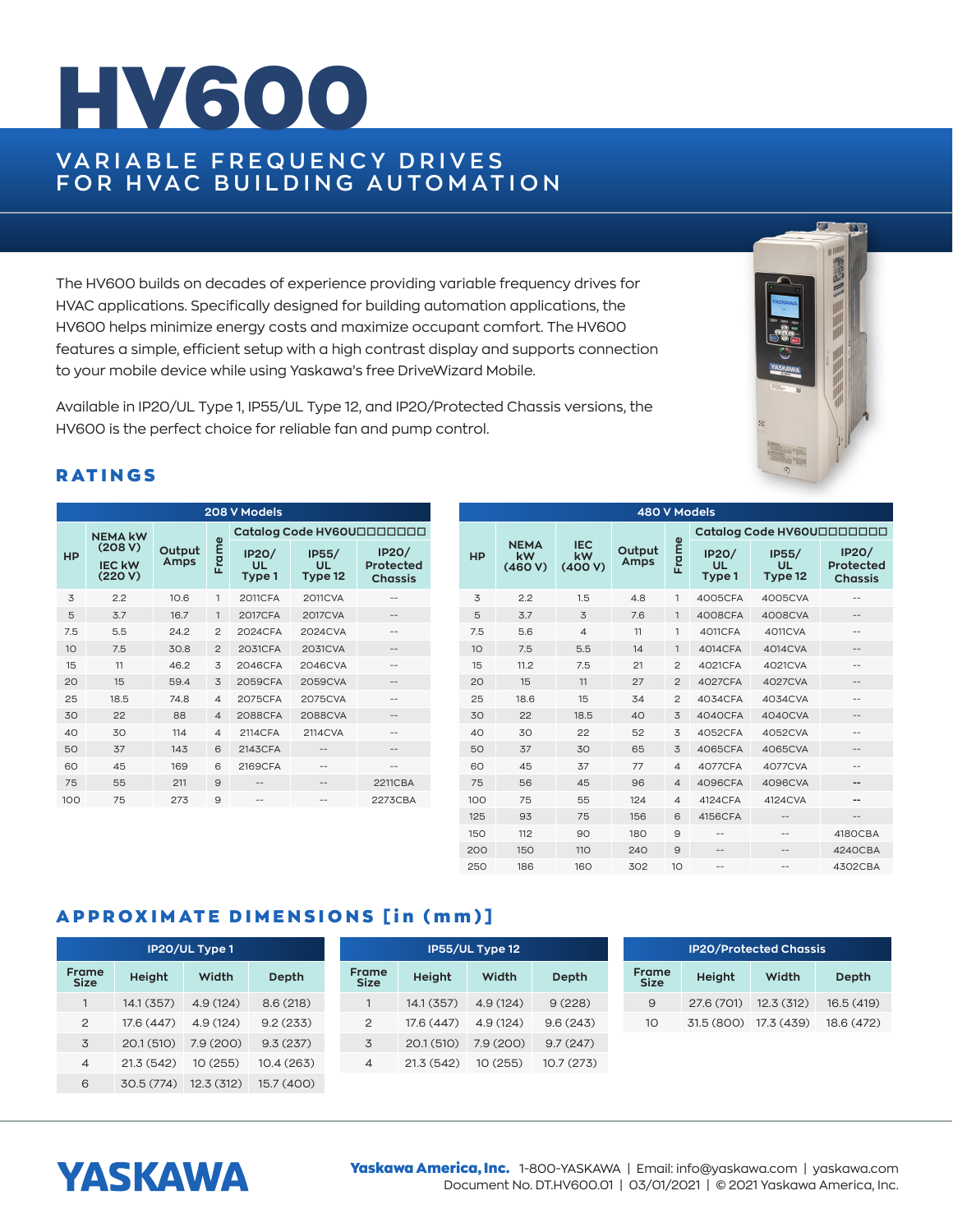## HV600

### **VA R I A B L E F R E Q U E N C Y D R I V E S FOR HVAC BUILDING AUTOMATION**

The HV600 builds on decades of experience providing variable frequency drives for HVAC applications. Specifically designed for building automation applications, the HV600 helps minimize energy costs and maximize occupant comfort. The HV600 features a simple, efficient setup with a high contrast display and supports connection to your mobile device while using Yaskawa's free DriveWizard Mobile.

Available in IP20/UL Type 1, IP55/UL Type 12, and IP20/Protected Chassis versions, the HV600 is the perfect choice for reliable fan and pump control.

# 震荡四

#### **RATINGS**

| 208 V Models |                                     |                |                |                              |                        |                                             |  |  |  |  |
|--------------|-------------------------------------|----------------|----------------|------------------------------|------------------------|---------------------------------------------|--|--|--|--|
|              | <b>NEMA kW</b>                      |                | Frame          | Catalog Code HV60U000000     |                        |                                             |  |  |  |  |
| <b>HP</b>    | (208 V)<br><b>IEC kW</b><br>(220 V) | Output<br>Amps |                | <b>IP20/</b><br>UL<br>Type 1 | IP55/<br>UL<br>Type 12 | <b>IP20/</b><br>Protected<br><b>Chassis</b> |  |  |  |  |
| 3            | 2.2                                 | 10.6           | 1              | <b>2011CFA</b>               | <b>2011CVA</b>         |                                             |  |  |  |  |
| 5            | 3.7                                 | 16.7           | $\mathbf{1}$   | <b>2017CFA</b>               | 2017CVA                | --                                          |  |  |  |  |
| 7.5          | 5.5                                 | 24.2           | $\overline{2}$ | 2024CFA                      | 2024CVA                |                                             |  |  |  |  |
| 10           | 7.5                                 | 30.8           | $\overline{2}$ | 2031CFA                      | 2031CVA                | --                                          |  |  |  |  |
| 15           | 11                                  | 46.2           | 3              | 2046CFA                      | 2046CVA                |                                             |  |  |  |  |
| 20           | 15                                  | 59.4           | 3              | 2059CFA                      | 2059CVA                | --                                          |  |  |  |  |
| 25           | 18.5                                | 74.8           | $\overline{4}$ | 2075CFA                      | 2075CVA                | --                                          |  |  |  |  |
| 30           | 22                                  | 88             | $\overline{4}$ | <b>2088CFA</b>               | 2088CVA                |                                             |  |  |  |  |
| 40           | 30                                  | 114            | $\overline{4}$ | 2114CFA                      | 2114CVA                |                                             |  |  |  |  |
| 50           | 37                                  | 143            | 6              | 2143CFA                      |                        |                                             |  |  |  |  |
| 60           | 45                                  | 169            | 6              | 2169CFA                      |                        | --                                          |  |  |  |  |
| 75           | 55                                  | 211            | 9              |                              |                        | <b>2211CBA</b>                              |  |  |  |  |
| 100          | 75                                  | 273            | 9              | --                           | --                     | 2273CBA                                     |  |  |  |  |

| 480 V Models |                              |                            |                |                          |                              |                               |                                             |  |  |
|--------------|------------------------------|----------------------------|----------------|--------------------------|------------------------------|-------------------------------|---------------------------------------------|--|--|
|              |                              |                            | Output<br>Amps | Frame                    | Catalog Code HV60U000000     |                               |                                             |  |  |
| <b>HP</b>    | <b>NEMA</b><br>kW<br>(460 V) | <b>IEC</b><br>kW<br>(400V) |                |                          | <b>IP20/</b><br>UL<br>Type 1 | IP55/<br><b>UL</b><br>Type 12 | <b>IP20/</b><br>Protected<br><b>Chassis</b> |  |  |
| 3            | 2.2                          | 1.5                        | 4.8            | 1                        | 4005CFA                      | 4005CVA                       | $-$                                         |  |  |
| 5            | 3.7                          | 3                          | 7.6            | $\mathbf{1}$             | 4008CFA                      | 4008CVA                       | --                                          |  |  |
| 7.5          | 5.6                          | $\overline{\mathcal{A}}$   | 11             | 1                        | 4011CFA                      | 4011CVA                       | --                                          |  |  |
| 10           | 7.5                          | 5.5                        | 14             | $\mathbf{1}$             | 4014CFA                      | 4014CVA                       | --                                          |  |  |
| 15           | 11.2                         | 7.5                        | 21             | $\overline{2}$           | 4021CFA                      | 4021CVA                       | --                                          |  |  |
| 20           | 15                           | 11                         | 27             | $\overline{2}$           | 4027CFA                      | 4027CVA                       | $\qquad \qquad -$                           |  |  |
| 25           | 18.6                         | 15                         | 34             | $\overline{2}$           | 4034CFA                      | 4034CVA                       | --                                          |  |  |
| 30           | 22                           | 18.5                       | 40             | 3                        | 4040CFA                      | 4040CVA                       | --                                          |  |  |
| 40           | 30                           | 22                         | 52             | 3                        | 4052CFA                      | 4052CVA                       | --                                          |  |  |
| 50           | 37                           | 30                         | 65             | 3                        | 4065CFA                      | 4065CVA                       | --                                          |  |  |
| 60           | 45                           | 37                         | 77             | $\overline{4}$           | <b>4077CFA</b>               | 4077CVA                       | --                                          |  |  |
| 75           | 56                           | 45                         | 96             | $\overline{\mathcal{A}}$ | 4096CFA                      | 4096CVA                       | $-$                                         |  |  |
| 100          | 75                           | 55                         | 124            | $\overline{\mathcal{A}}$ | 4124CFA                      | 4124CVA                       | --                                          |  |  |
| 125          | 93                           | 75                         | 156            | 6                        | 4156CFA                      |                               | $- -$                                       |  |  |
| 150          | 112                          | 90                         | 180            | 9                        | $ -$                         |                               | 4180CBA                                     |  |  |
| 200          | 150                          | 110                        | 240            | 9                        | $- -$                        | --                            | 4240CBA                                     |  |  |
| 250          | 186                          | 160                        | 302            | 10                       | $-$                          | --                            | 4302CBA                                     |  |  |

#### APPROXIMATE DIMENSIONS [in (mm)]

| IP20/UL Type 1 |                             |            |            | IP55/UL Type 12 |                             |           |          |           | <b>IP20/Protected Chassis</b> |                             |            |            |            |
|----------------|-----------------------------|------------|------------|-----------------|-----------------------------|-----------|----------|-----------|-------------------------------|-----------------------------|------------|------------|------------|
|                | <b>Frame</b><br><b>Size</b> | Height     | Width      | Depth           | <b>Frame</b><br><b>Size</b> | Height    | Width    | Depth     |                               | <b>Frame</b><br><b>Size</b> | Height     | Width      | Depth      |
|                |                             | 14.1(357)  | 4.9(124)   | 8.6(218)        |                             | 14.1(357) | 4.9(124) | 9(228)    |                               | 9                           | 27.6 (701) | 12.3(312)  | 16.5 (419) |
|                | 2                           | 17.6 (447) | 4.9(124)   | 9.2(233)        | 2                           | 17.6(447) | 4.9(124) | 9.6(243)  |                               | 10                          | 31.5 (800) | 17.3 (439) | 18.6 (472) |
|                | 3                           | 20.1(510)  | 7.9(200)   | 9.3(237)        | 3                           | 20.1(510) | 7.9(200) | 9.7(247)  |                               |                             |            |            |            |
|                | 4                           | 21.3(542)  | 10(255)    | 10.4(263)       | 4                           | 21.3(542) | 10 (255) | 10.7(273) |                               |                             |            |            |            |
|                | 6                           | 30.5(774)  | 12.3 (312) | 15.7 (400)      |                             |           |          |           |                               |                             |            |            |            |